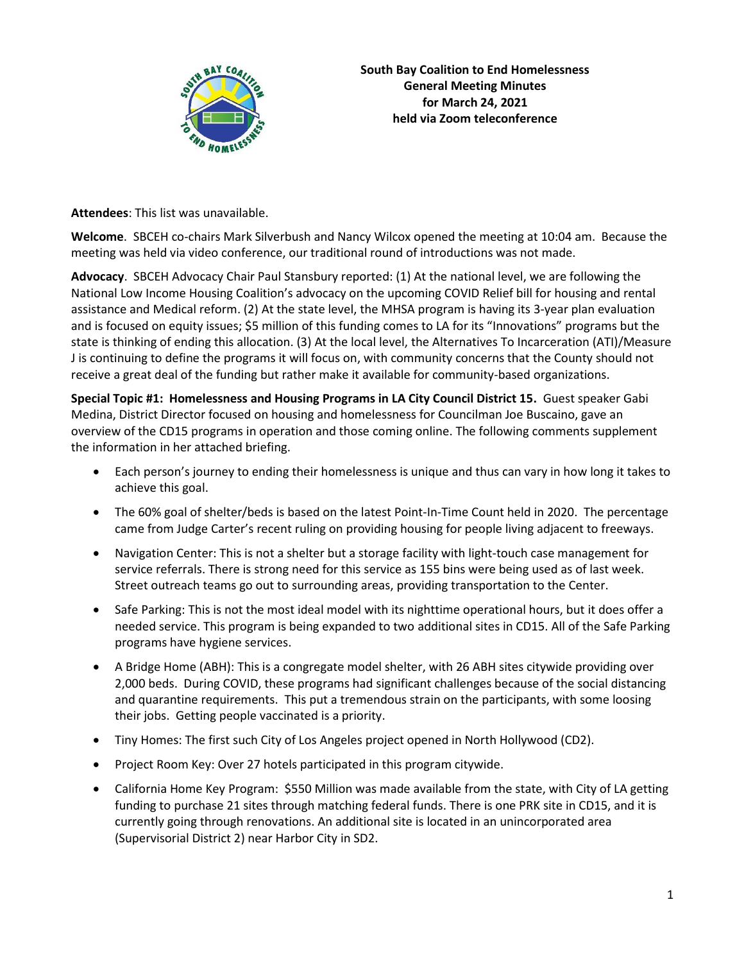

**Attendees**: This list was unavailable.

**Welcome**. SBCEH co-chairs Mark Silverbush and Nancy Wilcox opened the meeting at 10:04 am. Because the meeting was held via video conference, our traditional round of introductions was not made.

**Advocacy**. SBCEH Advocacy Chair Paul Stansbury reported: (1) At the national level, we are following the National Low Income Housing Coalition's advocacy on the upcoming COVID Relief bill for housing and rental assistance and Medical reform. (2) At the state level, the MHSA program is having its 3-year plan evaluation and is focused on equity issues; \$5 million of this funding comes to LA for its "Innovations" programs but the state is thinking of ending this allocation. (3) At the local level, the Alternatives To Incarceration (ATI)/Measure J is continuing to define the programs it will focus on, with community concerns that the County should not receive a great deal of the funding but rather make it available for community-based organizations.

**Special Topic #1: Homelessness and Housing Programs in LA City Council District 15.** Guest speaker Gabi Medina, District Director focused on housing and homelessness for Councilman Joe Buscaino, gave an overview of the CD15 programs in operation and those coming online. The following comments supplement the information in her attached briefing.

- Each person's journey to ending their homelessness is unique and thus can vary in how long it takes to achieve this goal.
- The 60% goal of shelter/beds is based on the latest Point-In-Time Count held in 2020. The percentage came from Judge Carter's recent ruling on providing housing for people living adjacent to freeways.
- Navigation Center: This is not a shelter but a storage facility with light-touch case management for service referrals. There is strong need for this service as 155 bins were being used as of last week. Street outreach teams go out to surrounding areas, providing transportation to the Center.
- Safe Parking: This is not the most ideal model with its nighttime operational hours, but it does offer a needed service. This program is being expanded to two additional sites in CD15. All of the Safe Parking programs have hygiene services.
- A Bridge Home (ABH): This is a congregate model shelter, with 26 ABH sites citywide providing over 2,000 beds. During COVID, these programs had significant challenges because of the social distancing and quarantine requirements. This put a tremendous strain on the participants, with some loosing their jobs. Getting people vaccinated is a priority.
- Tiny Homes: The first such City of Los Angeles project opened in North Hollywood (CD2).
- Project Room Key: Over 27 hotels participated in this program citywide.
- California Home Key Program: \$550 Million was made available from the state, with City of LA getting funding to purchase 21 sites through matching federal funds. There is one PRK site in CD15, and it is currently going through renovations. An additional site is located in an unincorporated area (Supervisorial District 2) near Harbor City in SD2.